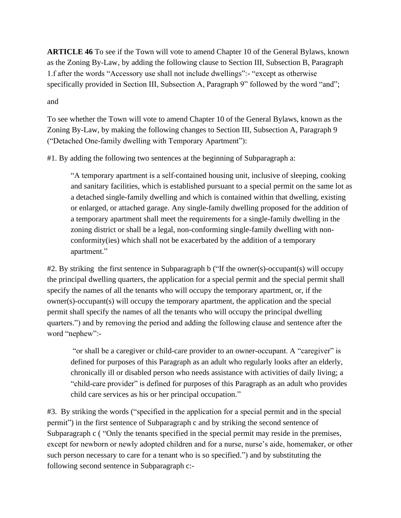**ARTICLE 46** To see if the Town will vote to amend Chapter 10 of the General Bylaws, known as the Zoning By-Law, by adding the following clause to Section III, Subsection B, Paragraph 1.f after the words "Accessory use shall not include dwellings":- "except as otherwise specifically provided in Section III, Subsection A, Paragraph 9" followed by the word "and";

## and

To see whether the Town will vote to amend Chapter 10 of the General Bylaws, known as the Zoning By-Law, by making the following changes to Section III, Subsection A, Paragraph 9 ("Detached One-family dwelling with Temporary Apartment"):

#1. By adding the following two sentences at the beginning of Subparagraph a:

"A temporary apartment is a self-contained housing unit, inclusive of sleeping, cooking and sanitary facilities, which is established pursuant to a special permit on the same lot as a detached single-family dwelling and which is contained within that dwelling, existing or enlarged, or attached garage. Any single-family dwelling proposed for the addition of a temporary apartment shall meet the requirements for a single-family dwelling in the zoning district or shall be a legal, non-conforming single-family dwelling with nonconformity(ies) which shall not be exacerbated by the addition of a temporary apartment."

#2. By striking the first sentence in Subparagraph b ("If the owner(s)-occupant(s) will occupy the principal dwelling quarters, the application for a special permit and the special permit shall specify the names of all the tenants who will occupy the temporary apartment, or, if the owner(s)-occupant(s) will occupy the temporary apartment, the application and the special permit shall specify the names of all the tenants who will occupy the principal dwelling quarters.") and by removing the period and adding the following clause and sentence after the word "nephew":-

"or shall be a caregiver or child-care provider to an owner-occupant. A "caregiver" is defined for purposes of this Paragraph as an adult who regularly looks after an elderly, chronically ill or disabled person who needs assistance with activities of daily living; a "child-care provider" is defined for purposes of this Paragraph as an adult who provides child care services as his or her principal occupation."

#3. By striking the words ("specified in the application for a special permit and in the special permit") in the first sentence of Subparagraph c and by striking the second sentence of Subparagraph c ( "Only the tenants specified in the special permit may reside in the premises, except for newborn or newly adopted children and for a nurse, nurse's aide, homemaker, or other such person necessary to care for a tenant who is so specified.") and by substituting the following second sentence in Subparagraph c:-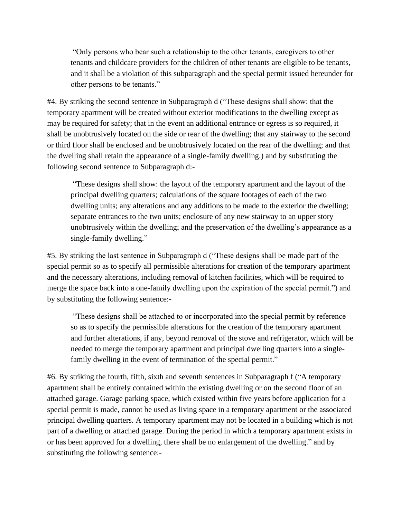"Only persons who bear such a relationship to the other tenants, caregivers to other tenants and childcare providers for the children of other tenants are eligible to be tenants, and it shall be a violation of this subparagraph and the special permit issued hereunder for other persons to be tenants."

#4. By striking the second sentence in Subparagraph d ("These designs shall show: that the temporary apartment will be created without exterior modifications to the dwelling except as may be required for safety; that in the event an additional entrance or egress is so required, it shall be unobtrusively located on the side or rear of the dwelling; that any stairway to the second or third floor shall be enclosed and be unobtrusively located on the rear of the dwelling; and that the dwelling shall retain the appearance of a single-family dwelling.) and by substituting the following second sentence to Subparagraph d:-

"These designs shall show: the layout of the temporary apartment and the layout of the principal dwelling quarters; calculations of the square footages of each of the two dwelling units; any alterations and any additions to be made to the exterior the dwelling; separate entrances to the two units; enclosure of any new stairway to an upper story unobtrusively within the dwelling; and the preservation of the dwelling's appearance as a single-family dwelling."

#5. By striking the last sentence in Subparagraph d ("These designs shall be made part of the special permit so as to specify all permissible alterations for creation of the temporary apartment and the necessary alterations, including removal of kitchen facilities, which will be required to merge the space back into a one-family dwelling upon the expiration of the special permit.") and by substituting the following sentence:-

"These designs shall be attached to or incorporated into the special permit by reference so as to specify the permissible alterations for the creation of the temporary apartment and further alterations, if any, beyond removal of the stove and refrigerator, which will be needed to merge the temporary apartment and principal dwelling quarters into a singlefamily dwelling in the event of termination of the special permit."

#6. By striking the fourth, fifth, sixth and seventh sentences in Subparagraph f ("A temporary apartment shall be entirely contained within the existing dwelling or on the second floor of an attached garage. Garage parking space, which existed within five years before application for a special permit is made, cannot be used as living space in a temporary apartment or the associated principal dwelling quarters. A temporary apartment may not be located in a building which is not part of a dwelling or attached garage. During the period in which a temporary apartment exists in or has been approved for a dwelling, there shall be no enlargement of the dwelling." and by substituting the following sentence:-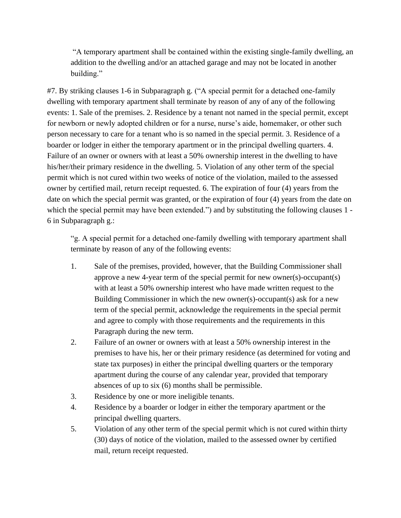"A temporary apartment shall be contained within the existing single-family dwelling, an addition to the dwelling and/or an attached garage and may not be located in another building."

#7. By striking clauses 1-6 in Subparagraph g. ("A special permit for a detached one-family dwelling with temporary apartment shall terminate by reason of any of any of the following events: 1. Sale of the premises. 2. Residence by a tenant not named in the special permit, except for newborn or newly adopted children or for a nurse, nurse's aide, homemaker, or other such person necessary to care for a tenant who is so named in the special permit. 3. Residence of a boarder or lodger in either the temporary apartment or in the principal dwelling quarters. 4. Failure of an owner or owners with at least a 50% ownership interest in the dwelling to have his/her/their primary residence in the dwelling. 5. Violation of any other term of the special permit which is not cured within two weeks of notice of the violation, mailed to the assessed owner by certified mail, return receipt requested. 6. The expiration of four (4) years from the date on which the special permit was granted, or the expiration of four (4) years from the date on which the special permit may have been extended.") and by substituting the following clauses 1 -6 in Subparagraph g.:

"g. A special permit for a detached one-family dwelling with temporary apartment shall terminate by reason of any of the following events:

- 1. Sale of the premises, provided, however, that the Building Commissioner shall approve a new 4-year term of the special permit for new owner(s)-occupant(s) with at least a 50% ownership interest who have made written request to the Building Commissioner in which the new owner(s)-occupant(s) ask for a new term of the special permit, acknowledge the requirements in the special permit and agree to comply with those requirements and the requirements in this Paragraph during the new term.
- 2. Failure of an owner or owners with at least a 50% ownership interest in the premises to have his, her or their primary residence (as determined for voting and state tax purposes) in either the principal dwelling quarters or the temporary apartment during the course of any calendar year, provided that temporary absences of up to six (6) months shall be permissible.
- 3. Residence by one or more ineligible tenants.
- 4. Residence by a boarder or lodger in either the temporary apartment or the principal dwelling quarters.
- 5. Violation of any other term of the special permit which is not cured within thirty (30) days of notice of the violation, mailed to the assessed owner by certified mail, return receipt requested.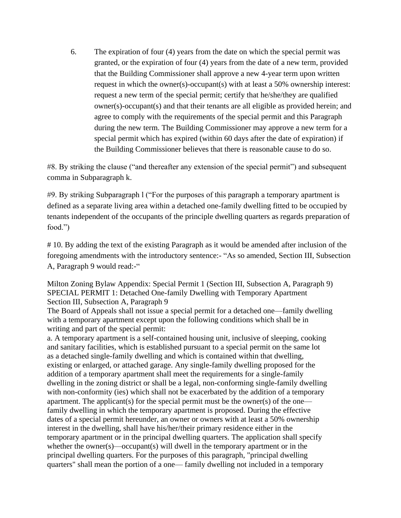6. The expiration of four (4) years from the date on which the special permit was granted, or the expiration of four (4) years from the date of a new term, provided that the Building Commissioner shall approve a new 4-year term upon written request in which the owner(s)-occupant(s) with at least a 50% ownership interest: request a new term of the special permit; certify that he/she/they are qualified owner(s)-occupant(s) and that their tenants are all eligible as provided herein; and agree to comply with the requirements of the special permit and this Paragraph during the new term. The Building Commissioner may approve a new term for a special permit which has expired (within 60 days after the date of expiration) if the Building Commissioner believes that there is reasonable cause to do so.

#8. By striking the clause ("and thereafter any extension of the special permit") and subsequent comma in Subparagraph k.

#9. By striking Subparagraph l ("For the purposes of this paragraph a temporary apartment is defined as a separate living area within a detached one-family dwelling fitted to be occupied by tenants independent of the occupants of the principle dwelling quarters as regards preparation of food.")

# 10. By adding the text of the existing Paragraph as it would be amended after inclusion of the foregoing amendments with the introductory sentence:- "As so amended, Section III, Subsection A, Paragraph 9 would read:-"

Milton Zoning Bylaw Appendix: Special Permit 1 (Section III, Subsection A, Paragraph 9) SPECIAL PERMIT 1: Detached One-family Dwelling with Temporary Apartment Section III, Subsection A, Paragraph 9

The Board of Appeals shall not issue a special permit for a detached one—family dwelling with a temporary apartment except upon the following conditions which shall be in writing and part of the special permit:

a. A temporary apartment is a self-contained housing unit, inclusive of sleeping, cooking and sanitary facilities, which is established pursuant to a special permit on the same lot as a detached single-family dwelling and which is contained within that dwelling, existing or enlarged, or attached garage. Any single-family dwelling proposed for the addition of a temporary apartment shall meet the requirements for a single-family dwelling in the zoning district or shall be a legal, non-conforming single-family dwelling with non-conformity (ies) which shall not be exacerbated by the addition of a temporary apartment. The applicant(s) for the special permit must be the owner(s) of the one family dwelling in which the temporary apartment is proposed. During the effective dates of a special permit hereunder, an owner or owners with at least a 50% ownership interest in the dwelling, shall have his/her/their primary residence either in the temporary apartment or in the principal dwelling quarters. The application shall specify whether the owner(s)—occupant(s) will dwell in the temporary apartment or in the principal dwelling quarters. For the purposes of this paragraph, "principal dwelling quarters" shall mean the portion of a one— family dwelling not included in a temporary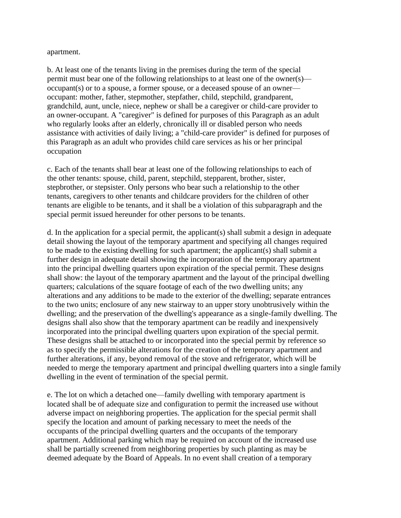apartment.

b. At least one of the tenants living in the premises during the term of the special permit must bear one of the following relationships to at least one of the owner(s) occupant(s) or to a spouse, a former spouse, or a deceased spouse of an owner occupant: mother, father, stepmother, stepfather, child, stepchild, grandparent, grandchild, aunt, uncle, niece, nephew or shall be a caregiver or child-care provider to an owner-occupant. A "caregiver" is defined for purposes of this Paragraph as an adult who regularly looks after an elderly, chronically ill or disabled person who needs assistance with activities of daily living; a "child-care provider" is defined for purposes of this Paragraph as an adult who provides child care services as his or her principal occupation

c. Each of the tenants shall bear at least one of the following relationships to each of the other tenants: spouse, child, parent, stepchild, stepparent, brother, sister, stepbrother, or stepsister. Only persons who bear such a relationship to the other tenants, caregivers to other tenants and childcare providers for the children of other tenants are eligible to be tenants, and it shall be a violation of this subparagraph and the special permit issued hereunder for other persons to be tenants.

d. In the application for a special permit, the applicant(s) shall submit a design in adequate detail showing the layout of the temporary apartment and specifying all changes required to be made to the existing dwelling for such apartment; the applicant(s) shall submit a further design in adequate detail showing the incorporation of the temporary apartment into the principal dwelling quarters upon expiration of the special permit. These designs shall show: the layout of the temporary apartment and the layout of the principal dwelling quarters; calculations of the square footage of each of the two dwelling units; any alterations and any additions to be made to the exterior of the dwelling; separate entrances to the two units; enclosure of any new stairway to an upper story unobtrusively within the dwelling; and the preservation of the dwelling's appearance as a single-family dwelling. The designs shall also show that the temporary apartment can be readily and inexpensively incorporated into the principal dwelling quarters upon expiration of the special permit. These designs shall be attached to or incorporated into the special permit by reference so as to specify the permissible alterations for the creation of the temporary apartment and further alterations, if any, beyond removal of the stove and refrigerator, which will be needed to merge the temporary apartment and principal dwelling quarters into a single family dwelling in the event of termination of the special permit.

e. The lot on which a detached one—family dwelling with temporary apartment is located shall be of adequate size and configuration to permit the increased use without adverse impact on neighboring properties. The application for the special permit shall specify the location and amount of parking necessary to meet the needs of the occupants of the principal dwelling quarters and the occupants of the temporary apartment. Additional parking which may be required on account of the increased use shall be partially screened from neighboring properties by such planting as may be deemed adequate by the Board of Appeals. In no event shall creation of a temporary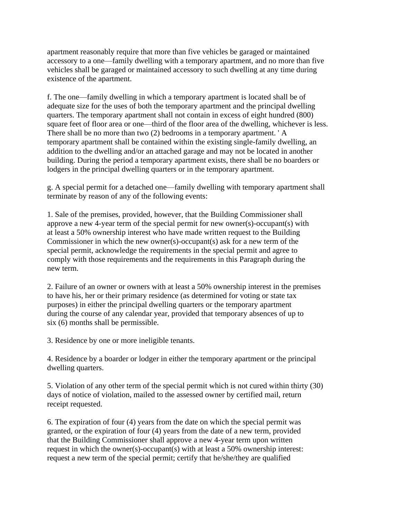apartment reasonably require that more than five vehicles be garaged or maintained accessory to a one—family dwelling with a temporary apartment, and no more than five vehicles shall be garaged or maintained accessory to such dwelling at any time during existence of the apartment.

f. The one—family dwelling in which a temporary apartment is located shall be of adequate size for the uses of both the temporary apartment and the principal dwelling quarters. The temporary apartment shall not contain in excess of eight hundred (800) square feet of floor area or one—third of the floor area of the dwelling, whichever is less. There shall be no more than two (2) bedrooms in a temporary apartment. ' A temporary apartment shall be contained within the existing single-family dwelling, an addition to the dwelling and/or an attached garage and may not be located in another building. During the period a temporary apartment exists, there shall be no boarders or lodgers in the principal dwelling quarters or in the temporary apartment.

g. A special permit for a detached one—family dwelling with temporary apartment shall terminate by reason of any of the following events:

1. Sale of the premises, provided, however, that the Building Commissioner shall approve a new 4-year term of the special permit for new owner(s)-occupant(s) with at least a 50% ownership interest who have made written request to the Building Commissioner in which the new owner(s)-occupant(s) ask for a new term of the special permit, acknowledge the requirements in the special permit and agree to comply with those requirements and the requirements in this Paragraph during the new term.

2. Failure of an owner or owners with at least a 50% ownership interest in the premises to have his, her or their primary residence (as determined for voting or state tax purposes) in either the principal dwelling quarters or the temporary apartment during the course of any calendar year, provided that temporary absences of up to six (6) months shall be permissible.

3. Residence by one or more ineligible tenants.

4. Residence by a boarder or lodger in either the temporary apartment or the principal dwelling quarters.

5. Violation of any other term of the special permit which is not cured within thirty (30) days of notice of violation, mailed to the assessed owner by certified mail, return receipt requested.

6. The expiration of four (4) years from the date on which the special permit was granted, or the expiration of four (4) years from the date of a new term, provided that the Building Commissioner shall approve a new 4-year term upon written request in which the owner(s)-occupant(s) with at least a 50% ownership interest: request a new term of the special permit; certify that he/she/they are qualified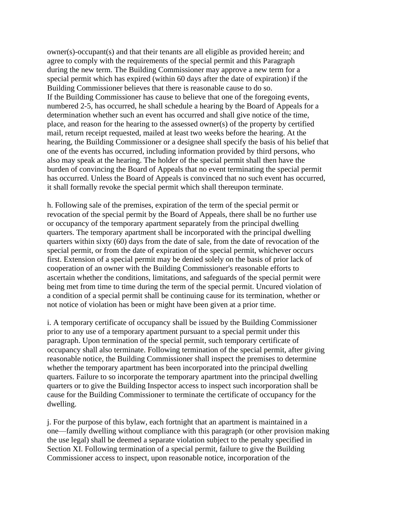owner(s)-occupant(s) and that their tenants are all eligible as provided herein; and agree to comply with the requirements of the special permit and this Paragraph during the new term. The Building Commissioner may approve a new term for a special permit which has expired (within 60 days after the date of expiration) if the Building Commissioner believes that there is reasonable cause to do so. If the Building Commissioner has cause to believe that one of the foregoing events, numbered 2-5, has occurred, he shall schedule a hearing by the Board of Appeals for a determination whether such an event has occurred and shall give notice of the time, place, and reason for the hearing to the assessed owner(s) of the property by certified mail, return receipt requested, mailed at least two weeks before the hearing. At the hearing, the Building Commissioner or a designee shall specify the basis of his belief that one of the events has occurred, including information provided by third persons, who also may speak at the hearing. The holder of the special permit shall then have the burden of convincing the Board of Appeals that no event terminating the special permit has occurred. Unless the Board of Appeals is convinced that no such event has occurred, it shall formally revoke the special permit which shall thereupon terminate.

h. Following sale of the premises, expiration of the term of the special permit or revocation of the special permit by the Board of Appeals, there shall be no further use or occupancy of the temporary apartment separately from the principal dwelling quarters. The temporary apartment shall be incorporated with the principal dwelling quarters within sixty (60) days from the date of sale, from the date of revocation of the special permit, or from the date of expiration of the special permit, whichever occurs first. Extension of a special permit may be denied solely on the basis of prior lack of cooperation of an owner with the Building Commissioner's reasonable efforts to ascertain whether the conditions, limitations, and safeguards of the special permit were being met from time to time during the term of the special permit. Uncured violation of a condition of a special permit shall be continuing cause for its termination, whether or not notice of violation has been or might have been given at a prior time.

i. A temporary certificate of occupancy shall be issued by the Building Commissioner prior to any use of a temporary apartment pursuant to a special permit under this paragraph. Upon termination of the special permit, such temporary certificate of occupancy shall also terminate. Following termination of the special permit, after giving reasonable notice, the Building Commissioner shall inspect the premises to determine whether the temporary apartment has been incorporated into the principal dwelling quarters. Failure to so incorporate the temporary apartment into the principal dwelling quarters or to give the Building Inspector access to inspect such incorporation shall be cause for the Building Commissioner to terminate the certificate of occupancy for the dwelling.

j. For the purpose of this bylaw, each fortnight that an apartment is maintained in a one—family dwelling without compliance with this paragraph (or other provision making the use legal) shall be deemed a separate violation subject to the penalty specified in Section XI. Following termination of a special permit, failure to give the Building Commissioner access to inspect, upon reasonable notice, incorporation of the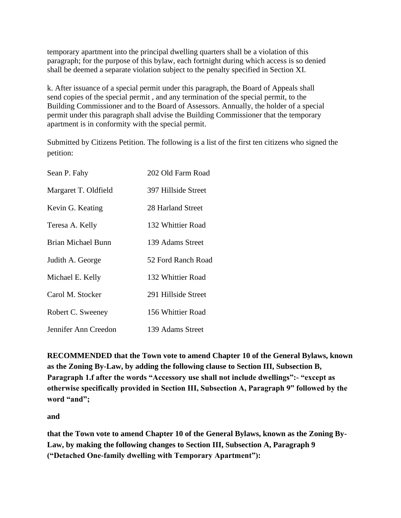temporary apartment into the principal dwelling quarters shall be a violation of this paragraph; for the purpose of this bylaw, each fortnight during which access is so denied shall be deemed a separate violation subject to the penalty specified in Section XI.

k. After issuance of a special permit under this paragraph, the Board of Appeals shall send copies of the special permit , and any termination of the special permit, to the Building Commissioner and to the Board of Assessors. Annually, the holder of a special permit under this paragraph shall advise the Building Commissioner that the temporary apartment is in conformity with the special permit.

Submitted by Citizens Petition. The following is a list of the first ten citizens who signed the petition:

| Sean P. Fahy         | 202 Old Farm Road   |
|----------------------|---------------------|
| Margaret T. Oldfield | 397 Hillside Street |
| Kevin G. Keating     | 28 Harland Street   |
| Teresa A. Kelly      | 132 Whittier Road   |
| Brian Michael Bunn   | 139 Adams Street    |
| Judith A. George     | 52 Ford Ranch Road  |
| Michael E. Kelly     | 132 Whittier Road   |
| Carol M. Stocker     | 291 Hillside Street |
| Robert C. Sweeney    | 156 Whittier Road   |
| Jennifer Ann Creedon | 139 Adams Street    |

**RECOMMENDED that the Town vote to amend Chapter 10 of the General Bylaws, known as the Zoning By-Law, by adding the following clause to Section III, Subsection B, Paragraph 1.f after the words "Accessory use shall not include dwellings":- "except as otherwise specifically provided in Section III, Subsection A, Paragraph 9" followed by the word "and";** 

**and**

**that the Town vote to amend Chapter 10 of the General Bylaws, known as the Zoning By-Law, by making the following changes to Section III, Subsection A, Paragraph 9 ("Detached One-family dwelling with Temporary Apartment"):**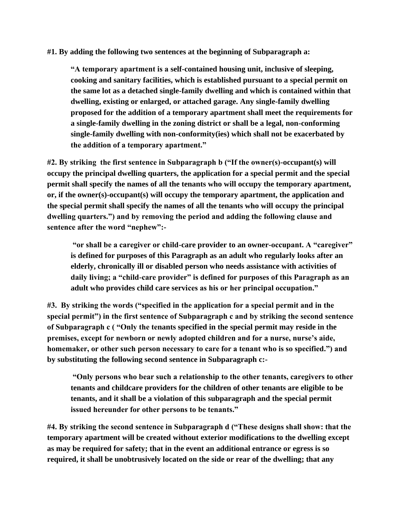## **#1. By adding the following two sentences at the beginning of Subparagraph a:**

**"A temporary apartment is a self-contained housing unit, inclusive of sleeping, cooking and sanitary facilities, which is established pursuant to a special permit on the same lot as a detached single-family dwelling and which is contained within that dwelling, existing or enlarged, or attached garage. Any single-family dwelling proposed for the addition of a temporary apartment shall meet the requirements for a single-family dwelling in the zoning district or shall be a legal, non-conforming single-family dwelling with non-conformity(ies) which shall not be exacerbated by the addition of a temporary apartment."**

**#2. By striking the first sentence in Subparagraph b ("If the owner(s)-occupant(s) will occupy the principal dwelling quarters, the application for a special permit and the special permit shall specify the names of all the tenants who will occupy the temporary apartment, or, if the owner(s)-occupant(s) will occupy the temporary apartment, the application and the special permit shall specify the names of all the tenants who will occupy the principal dwelling quarters.") and by removing the period and adding the following clause and sentence after the word "nephew":-**

**"or shall be a caregiver or child-care provider to an owner-occupant. A "caregiver" is defined for purposes of this Paragraph as an adult who regularly looks after an elderly, chronically ill or disabled person who needs assistance with activities of daily living; a "child-care provider" is defined for purposes of this Paragraph as an adult who provides child care services as his or her principal occupation."**

**#3. By striking the words ("specified in the application for a special permit and in the special permit") in the first sentence of Subparagraph c and by striking the second sentence of Subparagraph c ( "Only the tenants specified in the special permit may reside in the premises, except for newborn or newly adopted children and for a nurse, nurse's aide, homemaker, or other such person necessary to care for a tenant who is so specified.") and by substituting the following second sentence in Subparagraph c:-**

**"Only persons who bear such a relationship to the other tenants, caregivers to other tenants and childcare providers for the children of other tenants are eligible to be tenants, and it shall be a violation of this subparagraph and the special permit issued hereunder for other persons to be tenants."**

**#4. By striking the second sentence in Subparagraph d ("These designs shall show: that the temporary apartment will be created without exterior modifications to the dwelling except as may be required for safety; that in the event an additional entrance or egress is so required, it shall be unobtrusively located on the side or rear of the dwelling; that any**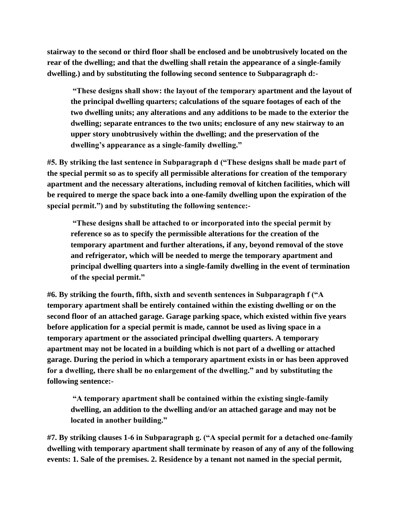**stairway to the second or third floor shall be enclosed and be unobtrusively located on the rear of the dwelling; and that the dwelling shall retain the appearance of a single-family dwelling.) and by substituting the following second sentence to Subparagraph d:-**

**"These designs shall show: the layout of the temporary apartment and the layout of the principal dwelling quarters; calculations of the square footages of each of the two dwelling units; any alterations and any additions to be made to the exterior the dwelling; separate entrances to the two units; enclosure of any new stairway to an upper story unobtrusively within the dwelling; and the preservation of the dwelling's appearance as a single-family dwelling."** 

**#5. By striking the last sentence in Subparagraph d ("These designs shall be made part of the special permit so as to specify all permissible alterations for creation of the temporary apartment and the necessary alterations, including removal of kitchen facilities, which will be required to merge the space back into a one-family dwelling upon the expiration of the special permit.") and by substituting the following sentence:-**

**"These designs shall be attached to or incorporated into the special permit by reference so as to specify the permissible alterations for the creation of the temporary apartment and further alterations, if any, beyond removal of the stove and refrigerator, which will be needed to merge the temporary apartment and principal dwelling quarters into a single-family dwelling in the event of termination of the special permit."**

**#6. By striking the fourth, fifth, sixth and seventh sentences in Subparagraph f ("A temporary apartment shall be entirely contained within the existing dwelling or on the second floor of an attached garage. Garage parking space, which existed within five years before application for a special permit is made, cannot be used as living space in a temporary apartment or the associated principal dwelling quarters. A temporary apartment may not be located in a building which is not part of a dwelling or attached garage. During the period in which a temporary apartment exists in or has been approved for a dwelling, there shall be no enlargement of the dwelling." and by substituting the following sentence:-**

**"A temporary apartment shall be contained within the existing single-family dwelling, an addition to the dwelling and/or an attached garage and may not be located in another building."**

**#7. By striking clauses 1-6 in Subparagraph g. ("A special permit for a detached one-family dwelling with temporary apartment shall terminate by reason of any of any of the following events: 1. Sale of the premises. 2. Residence by a tenant not named in the special permit,**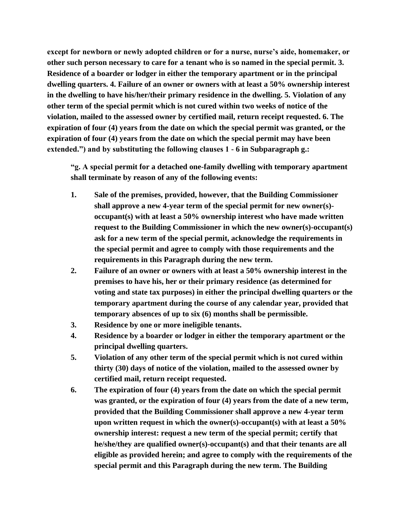**except for newborn or newly adopted children or for a nurse, nurse's aide, homemaker, or other such person necessary to care for a tenant who is so named in the special permit. 3. Residence of a boarder or lodger in either the temporary apartment or in the principal dwelling quarters. 4. Failure of an owner or owners with at least a 50% ownership interest in the dwelling to have his/her/their primary residence in the dwelling. 5. Violation of any other term of the special permit which is not cured within two weeks of notice of the violation, mailed to the assessed owner by certified mail, return receipt requested. 6. The expiration of four (4) years from the date on which the special permit was granted, or the expiration of four (4) years from the date on which the special permit may have been extended.") and by substituting the following clauses 1 - 6 in Subparagraph g.:**

**"g. A special permit for a detached one-family dwelling with temporary apartment shall terminate by reason of any of the following events:**

- **1. Sale of the premises, provided, however, that the Building Commissioner shall approve a new 4-year term of the special permit for new owner(s) occupant(s) with at least a 50% ownership interest who have made written request to the Building Commissioner in which the new owner(s)-occupant(s) ask for a new term of the special permit, acknowledge the requirements in the special permit and agree to comply with those requirements and the requirements in this Paragraph during the new term.**
- **2. Failure of an owner or owners with at least a 50% ownership interest in the premises to have his, her or their primary residence (as determined for voting and state tax purposes) in either the principal dwelling quarters or the temporary apartment during the course of any calendar year, provided that temporary absences of up to six (6) months shall be permissible.**
- **3. Residence by one or more ineligible tenants.**
- **4. Residence by a boarder or lodger in either the temporary apartment or the principal dwelling quarters.**
- **5. Violation of any other term of the special permit which is not cured within thirty (30) days of notice of the violation, mailed to the assessed owner by certified mail, return receipt requested.**
- **6. The expiration of four (4) years from the date on which the special permit was granted, or the expiration of four (4) years from the date of a new term, provided that the Building Commissioner shall approve a new 4-year term upon written request in which the owner(s)-occupant(s) with at least a 50% ownership interest: request a new term of the special permit; certify that he/she/they are qualified owner(s)-occupant(s) and that their tenants are all eligible as provided herein; and agree to comply with the requirements of the special permit and this Paragraph during the new term. The Building**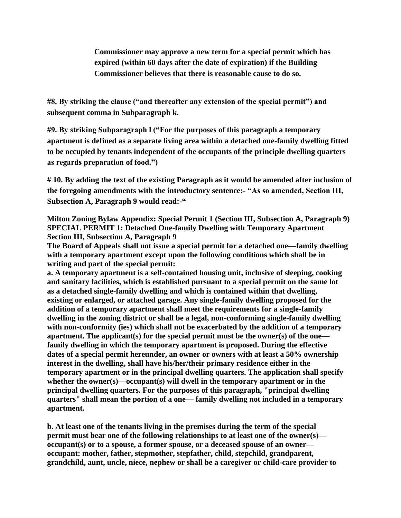**Commissioner may approve a new term for a special permit which has expired (within 60 days after the date of expiration) if the Building Commissioner believes that there is reasonable cause to do so.**

**#8. By striking the clause ("and thereafter any extension of the special permit") and subsequent comma in Subparagraph k.**

**#9. By striking Subparagraph l ("For the purposes of this paragraph a temporary apartment is defined as a separate living area within a detached one-family dwelling fitted to be occupied by tenants independent of the occupants of the principle dwelling quarters as regards preparation of food.")** 

**# 10. By adding the text of the existing Paragraph as it would be amended after inclusion of the foregoing amendments with the introductory sentence:- "As so amended, Section III, Subsection A, Paragraph 9 would read:-"**

**Milton Zoning Bylaw Appendix: Special Permit 1 (Section III, Subsection A, Paragraph 9) SPECIAL PERMIT 1: Detached One-family Dwelling with Temporary Apartment Section III, Subsection A, Paragraph 9**

**The Board of Appeals shall not issue a special permit for a detached one—family dwelling with a temporary apartment except upon the following conditions which shall be in writing and part of the special permit:**

**a. A temporary apartment is a self-contained housing unit, inclusive of sleeping, cooking and sanitary facilities, which is established pursuant to a special permit on the same lot as a detached single-family dwelling and which is contained within that dwelling, existing or enlarged, or attached garage. Any single-family dwelling proposed for the addition of a temporary apartment shall meet the requirements for a single-family dwelling in the zoning district or shall be a legal, non-conforming single-family dwelling with non-conformity (ies) which shall not be exacerbated by the addition of a temporary apartment. The applicant(s) for the special permit must be the owner(s) of the one family dwelling in which the temporary apartment is proposed. During the effective dates of a special permit hereunder, an owner or owners with at least a 50% ownership interest in the dwelling, shall have his/her/their primary residence either in the temporary apartment or in the principal dwelling quarters. The application shall specify whether the owner(s)—occupant(s) will dwell in the temporary apartment or in the principal dwelling quarters. For the purposes of this paragraph, "principal dwelling quarters" shall mean the portion of a one— family dwelling not included in a temporary apartment.**

**b. At least one of the tenants living in the premises during the term of the special permit must bear one of the following relationships to at least one of the owner(s) occupant(s) or to a spouse, a former spouse, or a deceased spouse of an owner occupant: mother, father, stepmother, stepfather, child, stepchild, grandparent, grandchild, aunt, uncle, niece, nephew or shall be a caregiver or child-care provider to**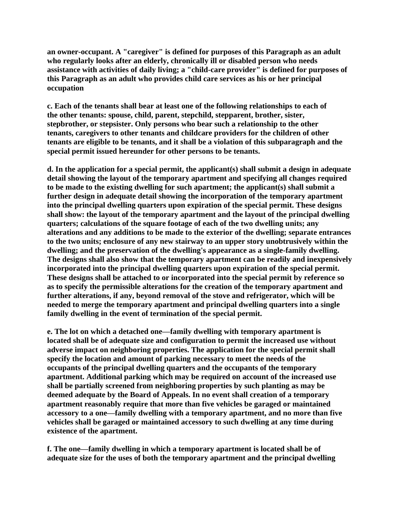**an owner-occupant. A "caregiver" is defined for purposes of this Paragraph as an adult who regularly looks after an elderly, chronically ill or disabled person who needs assistance with activities of daily living; a "child-care provider" is defined for purposes of this Paragraph as an adult who provides child care services as his or her principal occupation**

**c. Each of the tenants shall bear at least one of the following relationships to each of the other tenants: spouse, child, parent, stepchild, stepparent, brother, sister, stepbrother, or stepsister. Only persons who bear such a relationship to the other tenants, caregivers to other tenants and childcare providers for the children of other tenants are eligible to be tenants, and it shall be a violation of this subparagraph and the special permit issued hereunder for other persons to be tenants.**

**d. In the application for a special permit, the applicant(s) shall submit a design in adequate detail showing the layout of the temporary apartment and specifying all changes required to be made to the existing dwelling for such apartment; the applicant(s) shall submit a further design in adequate detail showing the incorporation of the temporary apartment into the principal dwelling quarters upon expiration of the special permit. These designs shall show: the layout of the temporary apartment and the layout of the principal dwelling quarters; calculations of the square footage of each of the two dwelling units; any alterations and any additions to be made to the exterior of the dwelling; separate entrances to the two units; enclosure of any new stairway to an upper story unobtrusively within the dwelling; and the preservation of the dwelling's appearance as a single-family dwelling. The designs shall also show that the temporary apartment can be readily and inexpensively incorporated into the principal dwelling quarters upon expiration of the special permit. These designs shall be attached to or incorporated into the special permit by reference so as to specify the permissible alterations for the creation of the temporary apartment and further alterations, if any, beyond removal of the stove and refrigerator, which will be needed to merge the temporary apartment and principal dwelling quarters into a single family dwelling in the event of termination of the special permit.**

**e. The lot on which a detached one—family dwelling with temporary apartment is located shall be of adequate size and configuration to permit the increased use without adverse impact on neighboring properties. The application for the special permit shall specify the location and amount of parking necessary to meet the needs of the occupants of the principal dwelling quarters and the occupants of the temporary apartment. Additional parking which may be required on account of the increased use shall be partially screened from neighboring properties by such planting as may be deemed adequate by the Board of Appeals. In no event shall creation of a temporary apartment reasonably require that more than five vehicles be garaged or maintained accessory to a one—family dwelling with a temporary apartment, and no more than five vehicles shall be garaged or maintained accessory to such dwelling at any time during existence of the apartment.**

**f. The one—family dwelling in which a temporary apartment is located shall be of adequate size for the uses of both the temporary apartment and the principal dwelling**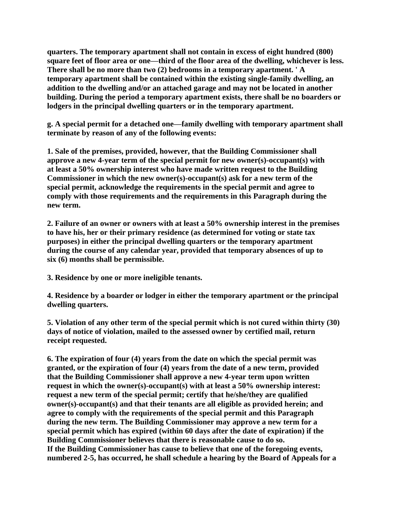**quarters. The temporary apartment shall not contain in excess of eight hundred (800) square feet of floor area or one—third of the floor area of the dwelling, whichever is less. There shall be no more than two (2) bedrooms in a temporary apartment. ' A temporary apartment shall be contained within the existing single-family dwelling, an addition to the dwelling and/or an attached garage and may not be located in another building. During the period a temporary apartment exists, there shall be no boarders or lodgers in the principal dwelling quarters or in the temporary apartment.**

**g. A special permit for a detached one—family dwelling with temporary apartment shall terminate by reason of any of the following events:**

**1. Sale of the premises, provided, however, that the Building Commissioner shall approve a new 4-year term of the special permit for new owner(s)-occupant(s) with at least a 50% ownership interest who have made written request to the Building Commissioner in which the new owner(s)-occupant(s) ask for a new term of the special permit, acknowledge the requirements in the special permit and agree to comply with those requirements and the requirements in this Paragraph during the new term.**

**2. Failure of an owner or owners with at least a 50% ownership interest in the premises to have his, her or their primary residence (as determined for voting or state tax purposes) in either the principal dwelling quarters or the temporary apartment during the course of any calendar year, provided that temporary absences of up to six (6) months shall be permissible.**

**3. Residence by one or more ineligible tenants.**

**4. Residence by a boarder or lodger in either the temporary apartment or the principal dwelling quarters.**

**5. Violation of any other term of the special permit which is not cured within thirty (30) days of notice of violation, mailed to the assessed owner by certified mail, return receipt requested.**

**6. The expiration of four (4) years from the date on which the special permit was granted, or the expiration of four (4) years from the date of a new term, provided that the Building Commissioner shall approve a new 4-year term upon written request in which the owner(s)-occupant(s) with at least a 50% ownership interest: request a new term of the special permit; certify that he/she/they are qualified owner(s)-occupant(s) and that their tenants are all eligible as provided herein; and agree to comply with the requirements of the special permit and this Paragraph during the new term. The Building Commissioner may approve a new term for a special permit which has expired (within 60 days after the date of expiration) if the Building Commissioner believes that there is reasonable cause to do so. If the Building Commissioner has cause to believe that one of the foregoing events, numbered 2-5, has occurred, he shall schedule a hearing by the Board of Appeals for a**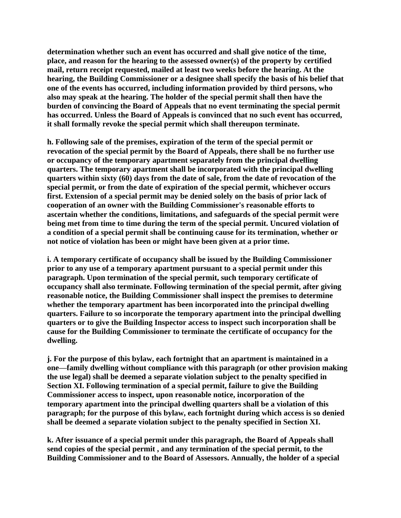**determination whether such an event has occurred and shall give notice of the time, place, and reason for the hearing to the assessed owner(s) of the property by certified mail, return receipt requested, mailed at least two weeks before the hearing. At the hearing, the Building Commissioner or a designee shall specify the basis of his belief that one of the events has occurred, including information provided by third persons, who also may speak at the hearing. The holder of the special permit shall then have the burden of convincing the Board of Appeals that no event terminating the special permit has occurred. Unless the Board of Appeals is convinced that no such event has occurred, it shall formally revoke the special permit which shall thereupon terminate.**

**h. Following sale of the premises, expiration of the term of the special permit or revocation of the special permit by the Board of Appeals, there shall be no further use or occupancy of the temporary apartment separately from the principal dwelling quarters. The temporary apartment shall be incorporated with the principal dwelling quarters within sixty (60) days from the date of sale, from the date of revocation of the special permit, or from the date of expiration of the special permit, whichever occurs first. Extension of a special permit may be denied solely on the basis of prior lack of cooperation of an owner with the Building Commissioner's reasonable efforts to ascertain whether the conditions, limitations, and safeguards of the special permit were being met from time to time during the term of the special permit. Uncured violation of a condition of a special permit shall be continuing cause for its termination, whether or not notice of violation has been or might have been given at a prior time.**

**i. A temporary certificate of occupancy shall be issued by the Building Commissioner prior to any use of a temporary apartment pursuant to a special permit under this paragraph. Upon termination of the special permit, such temporary certificate of occupancy shall also terminate. Following termination of the special permit, after giving reasonable notice, the Building Commissioner shall inspect the premises to determine whether the temporary apartment has been incorporated into the principal dwelling quarters. Failure to so incorporate the temporary apartment into the principal dwelling quarters or to give the Building Inspector access to inspect such incorporation shall be cause for the Building Commissioner to terminate the certificate of occupancy for the dwelling.**

**j. For the purpose of this bylaw, each fortnight that an apartment is maintained in a one—family dwelling without compliance with this paragraph (or other provision making the use legal) shall be deemed a separate violation subject to the penalty specified in Section XI. Following termination of a special permit, failure to give the Building Commissioner access to inspect, upon reasonable notice, incorporation of the temporary apartment into the principal dwelling quarters shall be a violation of this paragraph; for the purpose of this bylaw, each fortnight during which access is so denied shall be deemed a separate violation subject to the penalty specified in Section XI.**

**k. After issuance of a special permit under this paragraph, the Board of Appeals shall send copies of the special permit , and any termination of the special permit, to the Building Commissioner and to the Board of Assessors. Annually, the holder of a special**